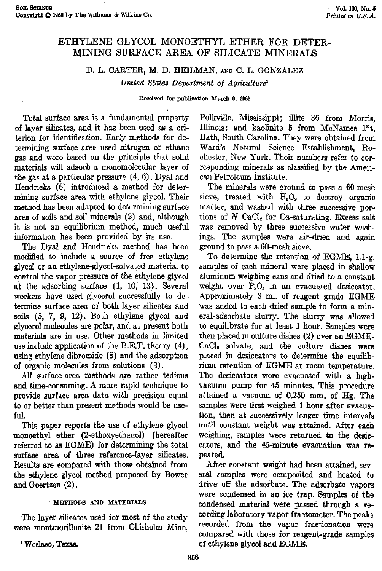# ETHYLENE GLYCOL MONOETHYL ETHER FOR DETER-MINING SURFACE AREA OF SILICATE MINERALS

# D. L. CARTER, M. D. HEILMAN, AND C. L. GONZALEZ

*United States Department of Agriculture)*

**Received for publication March Op 1985**

Total surface area is a fundamental property of layer silicates, and it has been used as a criterion for identification. Early methods for determining surface area used nitrogen or ethane gas and were based on the principle that solid materials will adsorb a monomolecular layer of the gas at a particular pressure (4, 6). Dyal and Hendricks (6) introduced a method for determining surface area with ethylene glycol. Their method has been adapted to determining surface area of soils and soil minerals (2) and, although it *is* not an equilibrium method, much useful information has been provided by its use.

The Dyal and Hendricks method has been modified to include a source of free ethylene glycol or an ethylene-glycol-solvated material to control the vapor pressure of the ethylene glycol at the adsorbing surface (1, 10, 13). Several workers have used glycerol successfully to determine surface area of both layer silicates and soils (5, 7, 9, 12). Both ethylene glycol and glycerol molecules are polar, and at present both materials are in use. Other methods in limited use include application of the B.E.T. theory (4), using ethylene dibromide (8) and the adsorption of organic molecules from solutions (3).

All surface-area methods are rather tedious and time-consuming. A more rapid technique to provide surface area data with precision equal to or better than present methods would be useful.

This **paper** reports the use of ethylene glycol monoethyl ether (2-ethoxyethanol) (hereafter referred to *as* EGME) for determining the total surface area of three reference-layer silicates. Results are compared with those obtained from the ethylene glycol method proposed by Bower and Goertzen (2).

### METHODS AND MATERIALS

The layer silicates used for most of the study were montmorillonite 21 from Chisholm Mine,

I Weslaco, Texas.

Polkville, Mississippi; illite 36 from Morris, Illinois; and kaolinite 5 from McNamee Pit, Bath, South Carolina. They were obtained from Ward's Natural Science Establishment, Rochester, New York. Their numbers refer to corresponding minerals as classified by the American Petroleum Institute.

The minerals were ground to pass a 60-mesh sieve, treated with  $H_2O_2$  to destroy organic matter, and washed with three successive portions of  $N$  CaCl<sub>a</sub> for Ca-saturating. Excess salt was removed by three successive water washings. The samples were air-dried and again ground to pass *a* 60-mesh sieve.

To determine the retention of EGME, 1.1-g. samples of each mineral were placed in shallow aluminum weighing cans and dried to a constant weight over  $P<sub>a</sub>O<sub>b</sub>$  in an evacuated desiccator. Approximately 3 ml. of reagent grade EGME was added to each dried sample to form a mineral-adsorbate slurry. The slurry was allowed to equilibrate for at least 1 hour. **Samples** were then placed in culture dishes (2) over an EGME-CaCl. solvate, and the culture dishes were placed in desiccators to determine the equilibrium retention of EGME at room temperature. The desiccators were evacuated with a highvacuum pump for 45 minutes. This procedure attained a vacuum of 0250 mm. of Hg. The samples were first weighed 1 hour after evacuation, then at successively longer time intervals until constant weight was attained. After each weighing, samples were returned to the desiccators, and the 45-minute evacuation *was* repeated.

After constant weight had been attained, several samples were composited and heated to drive off the adsorbate. The adsorbate vapors were condensed in an ice trap. Samples of the condensed material were passed through a recording laboratory vapor fractometer. The peaks recorded from the vapor fractionation were compared with those for reagent-grade samples of ethylene glycol and EGME.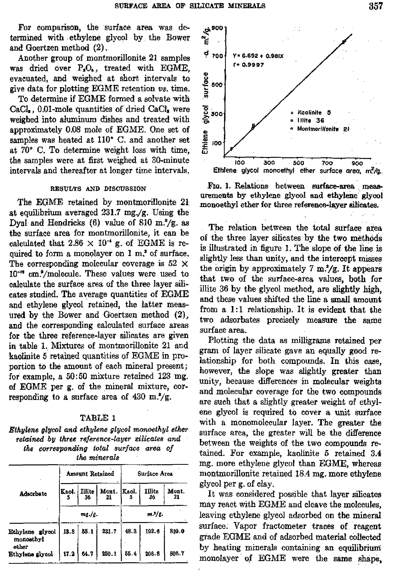For comparison, the surface area was determined with ethylene glycol by the Bower and Goertzen method (2).

Another group of mantmorillonite 21 samples was dried over  $P_2O_5$ , treated with EGME, evacuated, and weighed at short intervals to give data for plotting EGME retention *vs.* time.

To determine if EGME formed a solvate with CaCl<sub>2</sub>, 0.01-mole quantities of dried CaCl<sub>2</sub> were weighed into aluminum dishes and treated with approximately 0.08 mole of EGME. One set of samples was heated at 110° C. and another set at 70° C. To determine weight loss with time, the samples were at first weighed at 30-minute intervals and thereafter at longer time intervals.

#### RESULTS AND DISCUSSION

The EGME retained by montmorillonite 21 at equilibrium averaged 231.7 mg./g. Using the Dyal and Hendricks (6) value of 810 m. $^{2}/g$ , as the surface area for montmorillonite, it can be calculated that  $2.86 \times 10^{-4}$  g. of EGME is required to form a monolayer on 1 m.<sup>2</sup> of surface. The corresponding molecular coverage *is* 52 X *10'* cm.'/molecule. These values were used to calculate the surface area of the three layer silicates studied. The average quantities of EGME and ethylene glycol retained, the latter measured by the Bower and Goertzen method (2), and the corresponding calculated surface areas for the three reference-layer silicates are given in table 1. Mixtures of montmorillonite 21 and kaolinite 5 retained quantities of EGME in proportion to the amount of each mineral present; for example, a 50:50 mixture retained 123 **mg.** of EGME per g. of the mineral mixture, corresponding to a surface area of  $430 \text{ m}$ .  $\frac{2}{3}$ .

## TABLE 1

*Ethylene glycol and ethylene glycol monoethyl ether retained* by *three reference-layer silicates and the corresponding total surface area of the minerals*

|                                       | Amount Retained |             |                                      | Surface Area |              |             |
|---------------------------------------|-----------------|-------------|--------------------------------------|--------------|--------------|-------------|
| Adsorbate                             |                 | 36          | Kaol.   Illite   Mont.   Kaol.<br>21 |              | Illite<br>36 | Mont.<br>21 |
|                                       | $m$ g./g.       |             |                                      | m.*/z.       |              |             |
| Ethylene glycol<br>monoethyl<br>ether | 13.8            | 55.1        | 231.7                                | 48.3         | 192.6        | 810.0       |
| Ethylene glycol                       |                 | $17.2$ 64.7 | 250.1                                | 55.4         | 208.8        | 806.7       |



Fla. 1. Relations between surface-area measurements by ethylene glycol and ethylene glycol monoethyl ether for three reference-layer ailicatee.

The relation between the total surface area of the three layer silicates by the two methods is illustrated in figure *1.* The slope of the line *is* slightly less than unity, and the intercept misses the origin by approximately 7 m.<sup>2</sup>/g. It appears that two of the surface-area values, both for illite 36 by the glycol method, are slightly high, and these values shifted the line a small amount from a 1:1 relationship. It is evident that the two adsorbates precisely measure the same surface area.

Plotting the data *as* milligrams retained per gram of layer silicate gave an equally good relationship for both compounds. In this case, however, the slope was slightly greater than unity, because differences in molecular weights and molecular coverage for the two compounds are such that a slightly greater weight of ethylene glycol is required to cover a unit surface with a monomolecular layer. The greater the surface area, the greater will be the difference between the weights of the two compounds retained. For example, kaolinite 5 retained 3.4 mg. more ethylene glycol than EGME, whereas montmorillonite retained 18.4 mg. more ethylene glycol per g. of clay.

It was considered possible that layer silicates may react with EGME and cleave the molecules, leaving ethylene glycol adsorbed on the mineral surface. Vapor fractometer traces of reagent grade EGME and of adsorbed material collected by heating minerals containing an equilibrium monolayer of EGME were the same shape.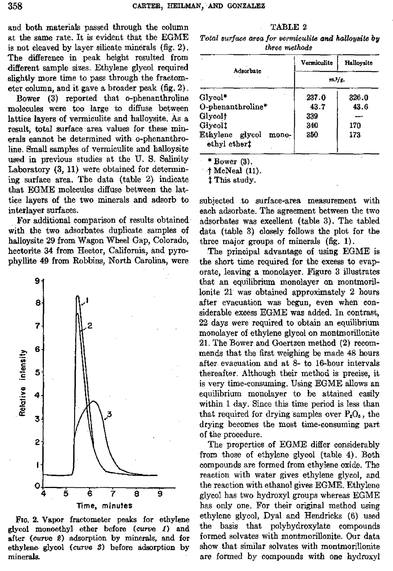and both materials passed through the column at the same rate. It is evident that the EGME is not cleaved by layer silicate minerals (fig. 2). The difference in peak height resulted from different sample sizes. Ethylene glycol required slightly more time to pass through the fractometer column, and it gave a broader peak (fig. 2).

Bower (3) reported that o-phenanthroline molecules were too large to diffuse between lattice layers of vermiculite and halloysite. As a result, total surface area values for these minerals cannot be determined with o-phenanthroline. Small samples of vermiculite and halloysite used in previous studies at the U. S. Salinity Laboratory (3, 11) were obtained for determining surface area. The data (table 2) indicate that EGME molecules diffuse between the lattice layers of the two minerals and adsorb to interlayer surfaces.

For additional comparison of results obtained with the two adsorbates duplicate samples of halloysite 29 from Wagon Wheel Gap, Colorado, hectorite 34 from Hector, California, and pyrophyllite 49 from Robbins, North Carolina, were



FIG. 2. Vapor fractometer peaks for ethylene glycol monoethyl ether before (curve 1) and after (curve 2) adsorption by minerals, and for ethylene glycol *(curve* 3) before adsorption by minerals.

TABLE 2 *Total surface area for vermiculite and halloysite by three methods*

| Adsorbate                                | Vermiculite   | Hallovsite |  |
|------------------------------------------|---------------|------------|--|
|                                          | $m_{\nu}/g$ . |            |  |
| Glycol*                                  | 237.0         | 326.0      |  |
| O-phenanthroline*                        | 43.7          | 43.6       |  |
| Glycol <sup>†</sup>                      | 339           |            |  |
| Glycol <sup>t</sup>                      | 340           | 170        |  |
| Ethylene glycol<br>mono-<br>ethyl ether! | 350           | 173        |  |

\* Bower (3).

f McNeal (11).

This study.

subjected to surface-area measurement with each adsorbate. The agreement between the two adsorbates was excellent (table 3). The tabled data (table 3) closely follows the plot for the three major groups of minerals (fig. 1).

The principal advantage of using EGME is the short time required for the excess to evaporate, leaving a monolayer. Figure 3 illustrates that an equilibrium monolayer on montmorillonite 21 was obtained approximately 2 hours after evacuation was begun, even when considerable excess EGME was added. In contrast, 22 days were required to obtain an equilibrium monolayer of ethylene glycol on montmorillonite 21. The Bower and Gaertzen method (2) recommends that the first weighing be made 48 hours after evacuation and at 8- to 16-hour intervals thereafter. Although their method is precise, it is very time-consuming. Using EGME allows an equilibrium monolayer to be attained easily within 1 day. Since this time period is less than that required for drying samples over  $P_2O_8$ , the drying becomes the most time-consuming part of the procedure.

The properties of EGME differ considerably from those of ethylene glycol (table 4). Both compounds are formed from ethylene oxide. The reaction with water gives ethylene glycol, and the reaction with ethanol gives EGME. Ethylene glycol has two hydroxyl groups whereas EGME has only one. For their original method using ethylene glycol, Dyal and Hendricks (6) used the basis that polyhydroxylate compounds formed solvates with montmorillonite. Our data show that similar solvates with montmorillonite are formed by compounds with one hydroxyl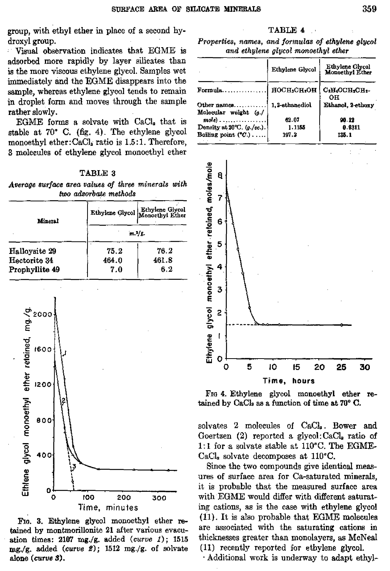group, with ethyl ether in place of a second hydroxyl group.

Visual observation indicates that EGME is adsorbed more rapidly by layer silicates than is the more viscous ethylene glycol. Samples wet immediately and the EGME disappears into the sample, whereas ethylene glycol tends to remain in droplet form and moves through the sample rather slowly.

EGME forms a solvate with CaC1, that is stable at 70° C. **(fig.** 4). The ethylene glycol monoethyl ether:  $CaCl<sub>2</sub>$  ratio is 1.5:1. Therefore, 3 molecules of ethylene glycol monoethyl ether

| TABLE 3 |  |
|---------|--|
|---------|--|

*Average surface area values of three minerals with two adsorbate methods*

| Mineral        |           | Ethylene Glycol Ethylene Glycol |  |
|----------------|-----------|---------------------------------|--|
|                | $m.7/2$ . |                                 |  |
| Halloysite 29  | 75.2      | 76.2                            |  |
| Hectorite 34   | 464.0     | 461.8                           |  |
| Prophyllite 49 | 7.0       | 6.2                             |  |



Fro. 3. Ethylene glycol monoethyl ether retained by montmorillonite 21 after various evacuation times: 2107 mg./g. added *(curve 1);* <sup>1515</sup> mg./g. added (curve 2); 1512 mg./g. of solvate alone *(curve* 3).

#### TABLE 4

*Properties,* names, *and formulas of ethylene glycol and ethylene glycol monoethyl ether*

|                                                      | Ethylene Glycol | Ethylene Glycol<br><b>Monoethyl Ether</b> |
|------------------------------------------------------|-----------------|-------------------------------------------|
| Formula                                              | HOCH, CH, OH    | C:H.OCH:CH:-<br>OН                        |
| Other names                                          | 1.2-sthanediol  | Ethanol, 2-ethoxy                         |
| Molecular weight (s./<br>$mole$ ,                    | 62.07           | 90.12                                     |
| $\rm Density$ at $20^{\circ}\rm C.$ (g./cc.). $\mid$ | 1.1155          | 0.9311                                    |
| Boiling point $(^{\circ}C$ .) $ $                    | 197.2           | 135.1                                     |



Fro 4. Ethylene glycol monoethyl ether retained by CaCl, as a function of time at 70° C.

solvates 2 molecules of CaCl<sub>2</sub>. Bower and Goertzen  $(2)$  reported a glycol: CaCl., ratio of 1:1 for a solvate stable at 110°C. The **EGME-**CaCl, solvate decomposes at 110°C.

Since the two compounds give identical measures of surface area for Ca-saturated minerals, it is probable that the measured surface area with EGME would differ with different saturating cations, *as* is the case with ethylene glycol (11). It is also probable that EGME molecules are associated with the saturating cations in thicknesses greater than monolayers, as McNeal (11) recently reported for ethylene glycol.

Additional work is underway to adapt ethyl-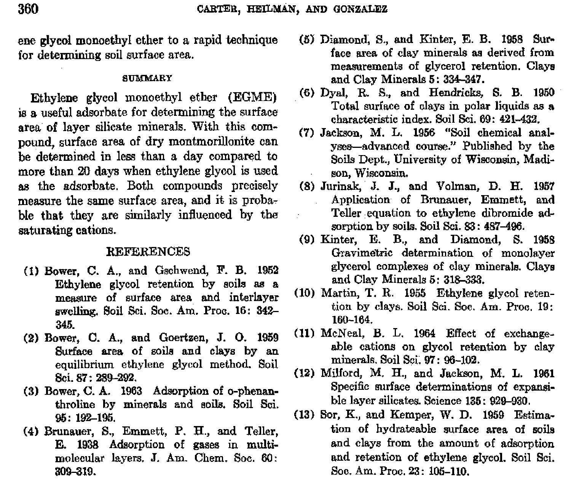ene glycol monoethyl ether to a rapid technique for determining soil surface area.

#### SUMMARY

Ethylene glycol monoethyl ether (EGME) is a useful adsorbate for determining the surface area of layer silicate minerals. With this compound, surface area of dry montmorillonite can be determined in less than a day compared to more than 20 days when ethylene glycol is used as the adsorbate. Both compounds precisely measure the same surface area, and it is probable that they are similarly influenced by the saturating cations.

### **REFERENCES**

- (1) Bower, C. A., and Gschwend, F. B. 1952 Ethylene glycol retention by soils as a measure of surface area and interlayer swelling. Soil Sci. Soc. Am. Proc. 16: 342- 345.
- (2) Bower, C. A., and Goertzen, J. 0. 1959 Surface area of soils and clays by an equilibrium ethylene glycol method. Soil Sci. 87: 289-292.
- (3) Bower, C. A. 1963 Adsorption of o-phenanthroline by minerals and soils. Soil Sci. 95: 192-195.
- (4) Brunauer, S., Emmett, P. H., and Teller, E. 1938 Adsorption of gases in multimolecular layers. J. Am. Chem. Soc. 60: 309-319.
- Diamond, S., and Hinter, E. B. 1958 Surface area of clay minerals as derived from measurements of glycerol retention. Clays and Clay Minerals 5: 334-347.
- (6) Dyal, R. S., and Hendricks, S. B. 1950 Total surface of clays in polar liquids *as* a characteristic index. Soil Sci. 69: 421-432.
- (7) Jackson, M. L. 1956 "Soil chemical analyses—advanced course." Published by the Soils Dept., University of Wisconsin, Madison, Wisconsin.
- (8) Jurinak, J. J., and Volman, D. H. 1957 Application of Brunauer, Emmett, and Teller equation to ethylene dibromide adsorption by soils. Soil Sci. 83: **4S7**-496.
- (9) Kinter, E. B., and Diamond, S. 1958 Gravimetric determination of monolayer glycerol complexes of clay minerals. Clays and Clay Minerals 5: 318-333.
- (10) Martin, T. R. 1955 Ethylene glycol retention by clays. Soil Sci. Soc. Am. Proc. 19: 160-164.
- (11) McNeal, B. L. 1964 Effect of exchangeable cations on glycol retention by clay minerals. Soil Sci. 97 : 96-102.
- (12) Milford, M. H., and Jackson, M. L. 1961 Specific surface determinations of expansible layer silicates. Science 135: 929-930.
- (13) Sor, K., and Kemper, W. D. 1959 Estimation of hydrateable surface area of soils and clays from the amount of adsorption and retention of ethylene glycol. Soil Sci. Soc. Am. Proc. 23: 105-110.